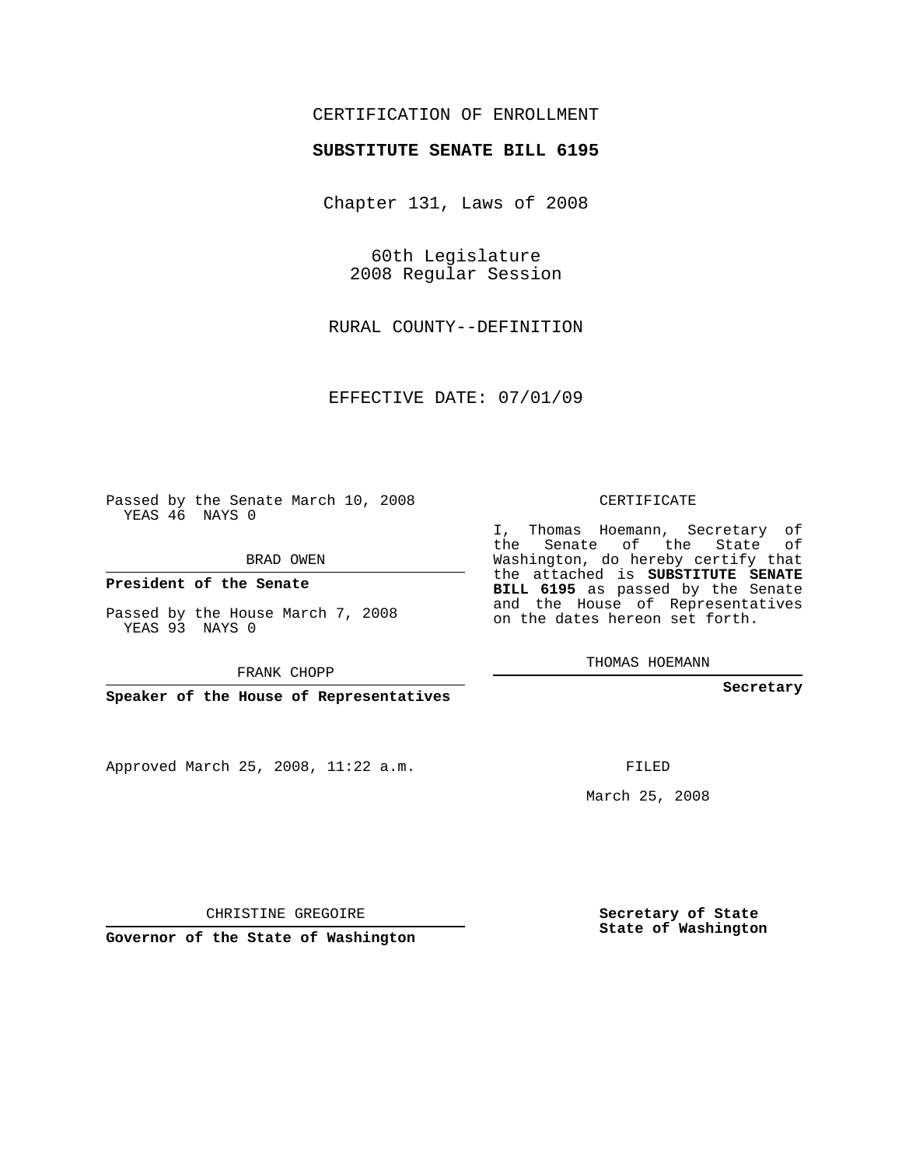## CERTIFICATION OF ENROLLMENT

## **SUBSTITUTE SENATE BILL 6195**

Chapter 131, Laws of 2008

60th Legislature 2008 Regular Session

RURAL COUNTY--DEFINITION

EFFECTIVE DATE: 07/01/09

Passed by the Senate March 10, 2008 YEAS 46 NAYS 0

BRAD OWEN

**President of the Senate**

Passed by the House March 7, 2008 YEAS 93 NAYS 0

FRANK CHOPP

**Speaker of the House of Representatives**

Approved March 25, 2008, 11:22 a.m.

CERTIFICATE

I, Thomas Hoemann, Secretary of the Senate of the State of Washington, do hereby certify that the attached is **SUBSTITUTE SENATE BILL 6195** as passed by the Senate and the House of Representatives on the dates hereon set forth.

THOMAS HOEMANN

**Secretary**

FILED

March 25, 2008

**Secretary of State State of Washington**

CHRISTINE GREGOIRE

**Governor of the State of Washington**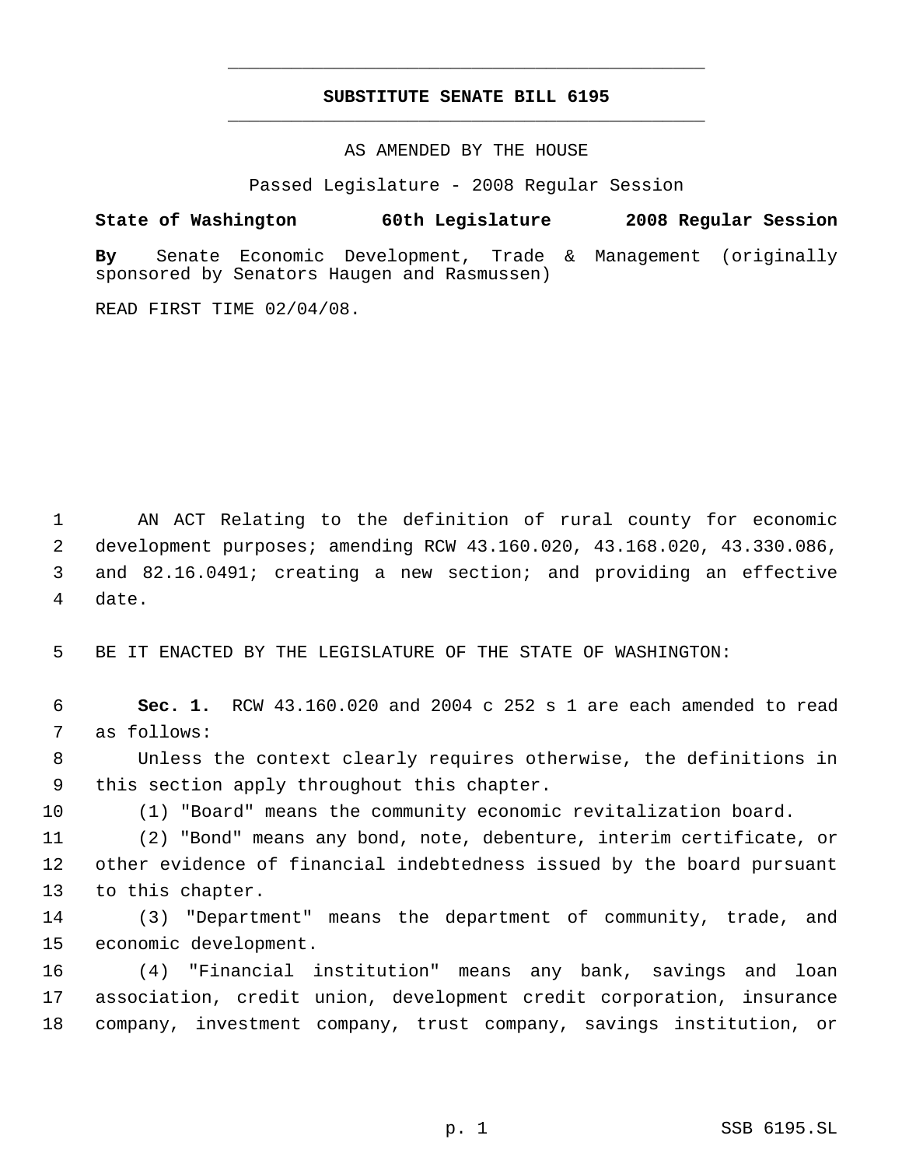## **SUBSTITUTE SENATE BILL 6195** \_\_\_\_\_\_\_\_\_\_\_\_\_\_\_\_\_\_\_\_\_\_\_\_\_\_\_\_\_\_\_\_\_\_\_\_\_\_\_\_\_\_\_\_\_

\_\_\_\_\_\_\_\_\_\_\_\_\_\_\_\_\_\_\_\_\_\_\_\_\_\_\_\_\_\_\_\_\_\_\_\_\_\_\_\_\_\_\_\_\_

AS AMENDED BY THE HOUSE

Passed Legislature - 2008 Regular Session

**State of Washington 60th Legislature 2008 Regular Session By** Senate Economic Development, Trade & Management (originally sponsored by Senators Haugen and Rasmussen)

READ FIRST TIME 02/04/08.

 AN ACT Relating to the definition of rural county for economic development purposes; amending RCW 43.160.020, 43.168.020, 43.330.086, and 82.16.0491; creating a new section; and providing an effective date.

BE IT ENACTED BY THE LEGISLATURE OF THE STATE OF WASHINGTON:

 **Sec. 1.** RCW 43.160.020 and 2004 c 252 s 1 are each amended to read as follows:

 Unless the context clearly requires otherwise, the definitions in this section apply throughout this chapter.

(1) "Board" means the community economic revitalization board.

 (2) "Bond" means any bond, note, debenture, interim certificate, or other evidence of financial indebtedness issued by the board pursuant to this chapter.

 (3) "Department" means the department of community, trade, and economic development.

 (4) "Financial institution" means any bank, savings and loan association, credit union, development credit corporation, insurance company, investment company, trust company, savings institution, or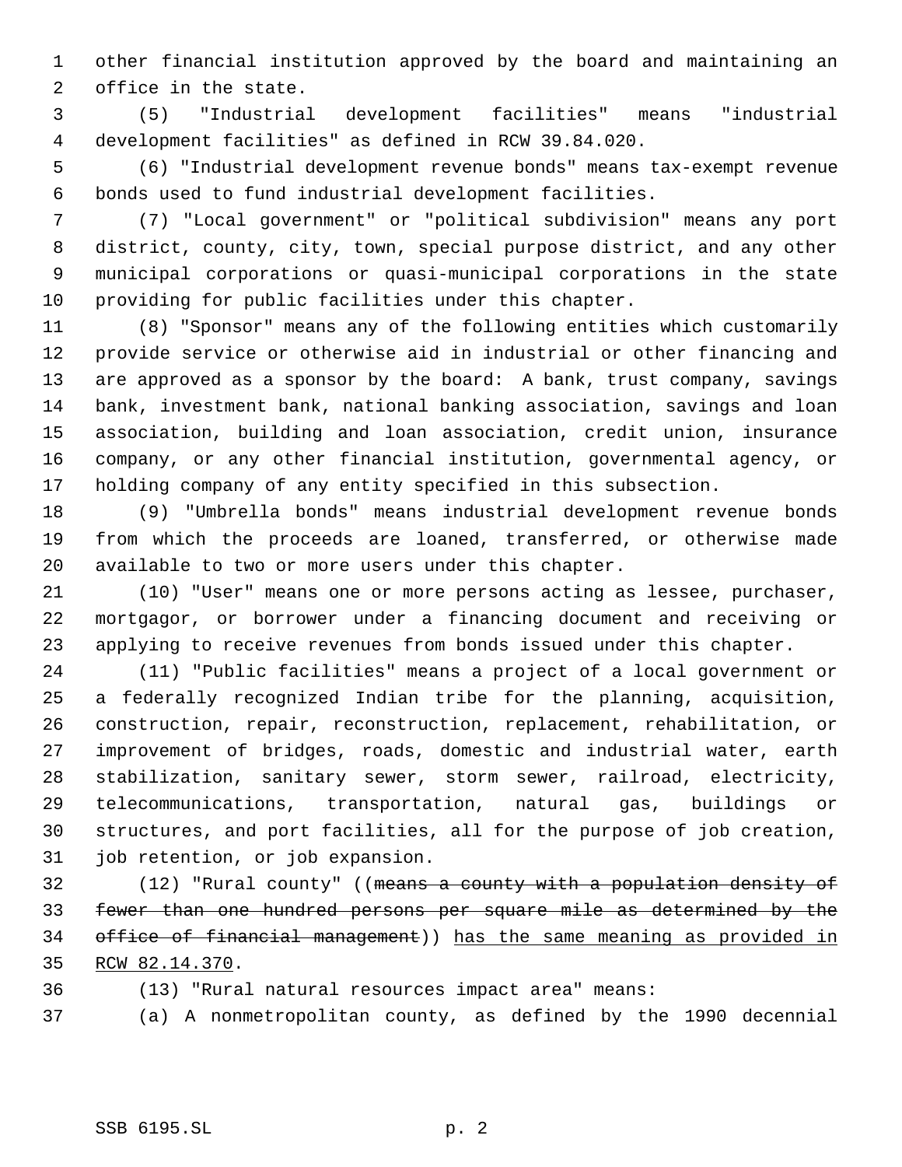other financial institution approved by the board and maintaining an office in the state.

 (5) "Industrial development facilities" means "industrial development facilities" as defined in RCW 39.84.020.

 (6) "Industrial development revenue bonds" means tax-exempt revenue bonds used to fund industrial development facilities.

 (7) "Local government" or "political subdivision" means any port district, county, city, town, special purpose district, and any other municipal corporations or quasi-municipal corporations in the state providing for public facilities under this chapter.

 (8) "Sponsor" means any of the following entities which customarily provide service or otherwise aid in industrial or other financing and are approved as a sponsor by the board: A bank, trust company, savings bank, investment bank, national banking association, savings and loan association, building and loan association, credit union, insurance company, or any other financial institution, governmental agency, or holding company of any entity specified in this subsection.

 (9) "Umbrella bonds" means industrial development revenue bonds from which the proceeds are loaned, transferred, or otherwise made available to two or more users under this chapter.

 (10) "User" means one or more persons acting as lessee, purchaser, mortgagor, or borrower under a financing document and receiving or applying to receive revenues from bonds issued under this chapter.

 (11) "Public facilities" means a project of a local government or a federally recognized Indian tribe for the planning, acquisition, construction, repair, reconstruction, replacement, rehabilitation, or improvement of bridges, roads, domestic and industrial water, earth stabilization, sanitary sewer, storm sewer, railroad, electricity, telecommunications, transportation, natural gas, buildings or structures, and port facilities, all for the purpose of job creation, job retention, or job expansion.

32 (12) "Rural county" ((means a county with a population density of fewer than one hundred persons per square mile as determined by the office of financial management)) has the same meaning as provided in RCW 82.14.370.

(13) "Rural natural resources impact area" means:

(a) A nonmetropolitan county, as defined by the 1990 decennial

SSB 6195.SL p. 2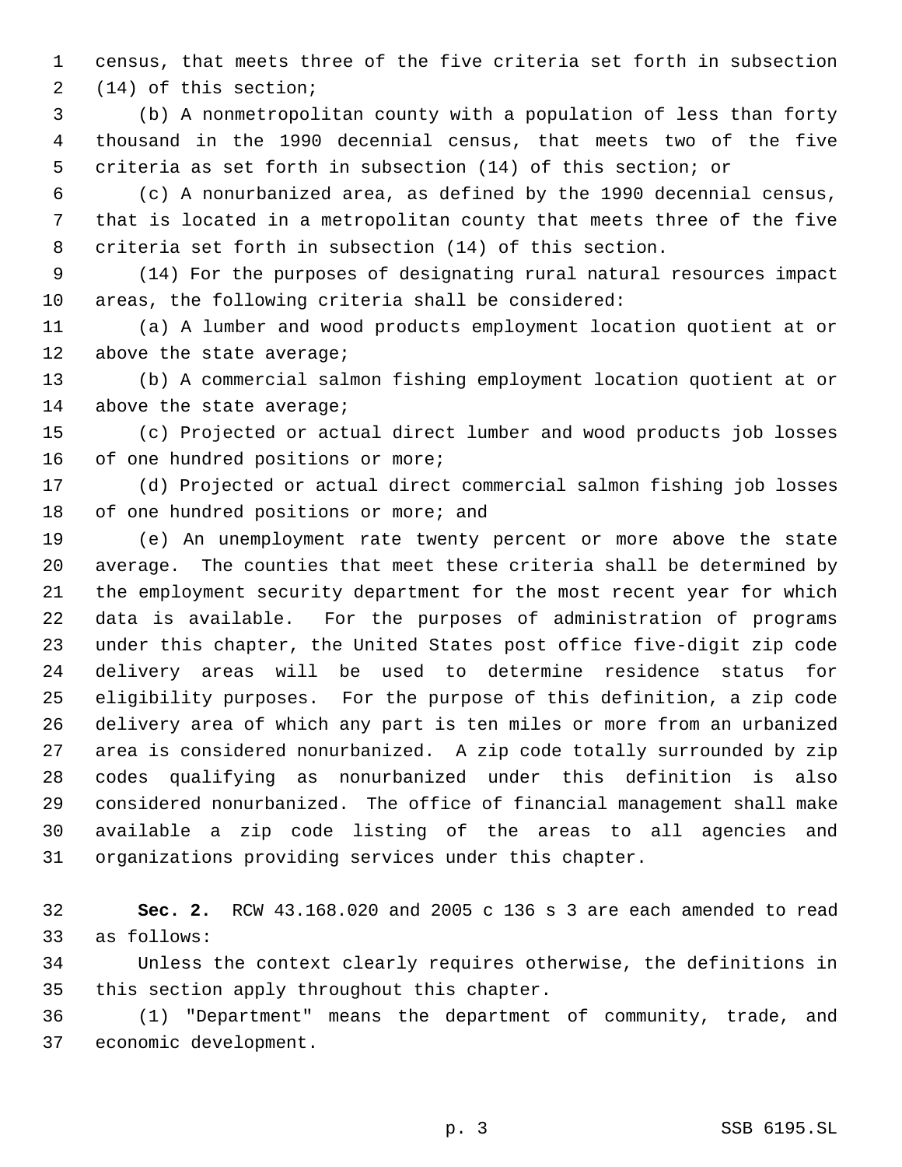census, that meets three of the five criteria set forth in subsection (14) of this section;

 (b) A nonmetropolitan county with a population of less than forty thousand in the 1990 decennial census, that meets two of the five criteria as set forth in subsection (14) of this section; or

 (c) A nonurbanized area, as defined by the 1990 decennial census, that is located in a metropolitan county that meets three of the five criteria set forth in subsection (14) of this section.

 (14) For the purposes of designating rural natural resources impact areas, the following criteria shall be considered:

 (a) A lumber and wood products employment location quotient at or 12 above the state average;

 (b) A commercial salmon fishing employment location quotient at or 14 above the state average;

 (c) Projected or actual direct lumber and wood products job losses 16 of one hundred positions or more;

 (d) Projected or actual direct commercial salmon fishing job losses 18 of one hundred positions or more; and

 (e) An unemployment rate twenty percent or more above the state average. The counties that meet these criteria shall be determined by the employment security department for the most recent year for which data is available. For the purposes of administration of programs under this chapter, the United States post office five-digit zip code delivery areas will be used to determine residence status for eligibility purposes. For the purpose of this definition, a zip code delivery area of which any part is ten miles or more from an urbanized area is considered nonurbanized. A zip code totally surrounded by zip codes qualifying as nonurbanized under this definition is also considered nonurbanized. The office of financial management shall make available a zip code listing of the areas to all agencies and organizations providing services under this chapter.

 **Sec. 2.** RCW 43.168.020 and 2005 c 136 s 3 are each amended to read as follows:

 Unless the context clearly requires otherwise, the definitions in this section apply throughout this chapter.

 (1) "Department" means the department of community, trade, and economic development.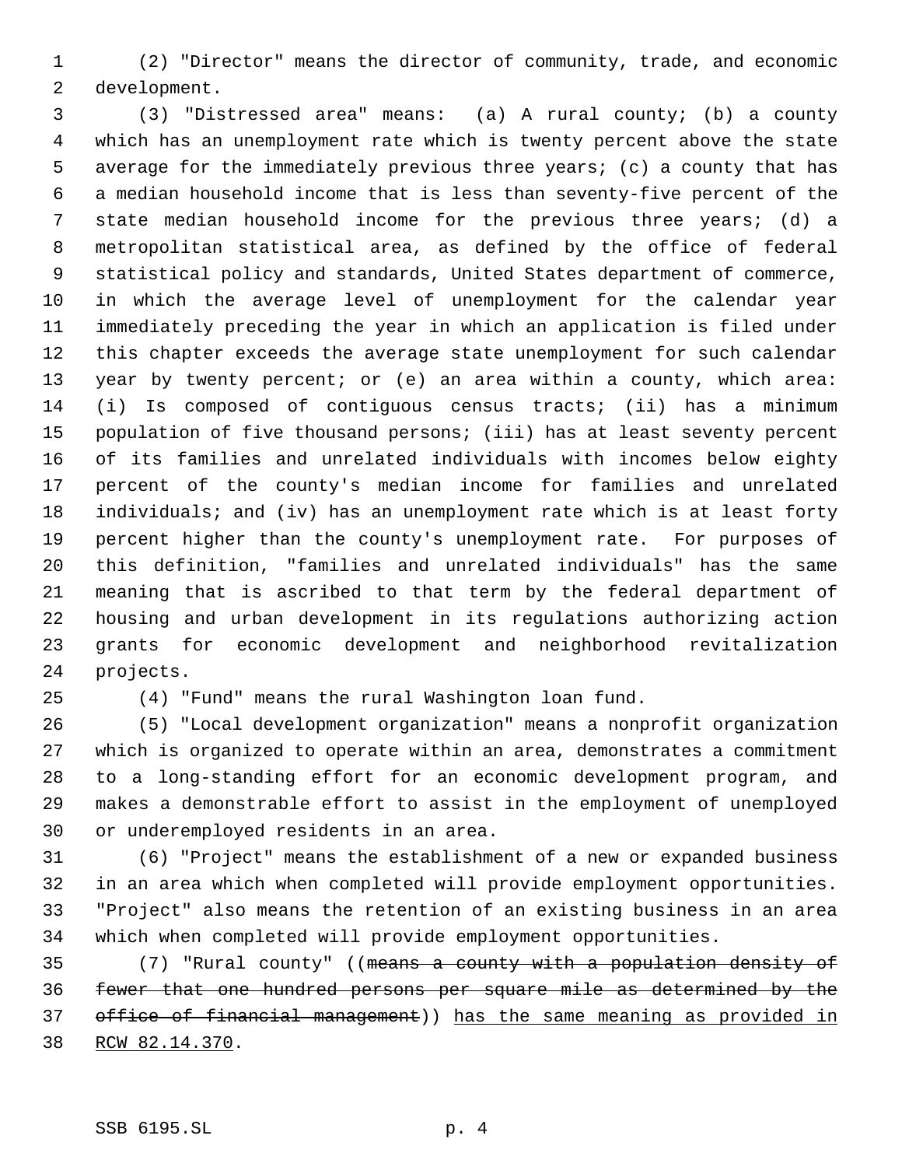(2) "Director" means the director of community, trade, and economic development.

 (3) "Distressed area" means: (a) A rural county; (b) a county which has an unemployment rate which is twenty percent above the state average for the immediately previous three years; (c) a county that has a median household income that is less than seventy-five percent of the state median household income for the previous three years; (d) a metropolitan statistical area, as defined by the office of federal statistical policy and standards, United States department of commerce, in which the average level of unemployment for the calendar year immediately preceding the year in which an application is filed under this chapter exceeds the average state unemployment for such calendar year by twenty percent; or (e) an area within a county, which area: (i) Is composed of contiguous census tracts; (ii) has a minimum population of five thousand persons; (iii) has at least seventy percent of its families and unrelated individuals with incomes below eighty percent of the county's median income for families and unrelated individuals; and (iv) has an unemployment rate which is at least forty percent higher than the county's unemployment rate. For purposes of this definition, "families and unrelated individuals" has the same meaning that is ascribed to that term by the federal department of housing and urban development in its regulations authorizing action grants for economic development and neighborhood revitalization projects.

(4) "Fund" means the rural Washington loan fund.

 (5) "Local development organization" means a nonprofit organization which is organized to operate within an area, demonstrates a commitment to a long-standing effort for an economic development program, and makes a demonstrable effort to assist in the employment of unemployed or underemployed residents in an area.

 (6) "Project" means the establishment of a new or expanded business in an area which when completed will provide employment opportunities. "Project" also means the retention of an existing business in an area which when completed will provide employment opportunities.

 (7) "Rural county" ((means a county with a population density of fewer that one hundred persons per square mile as determined by the office of financial management)) has the same meaning as provided in RCW 82.14.370.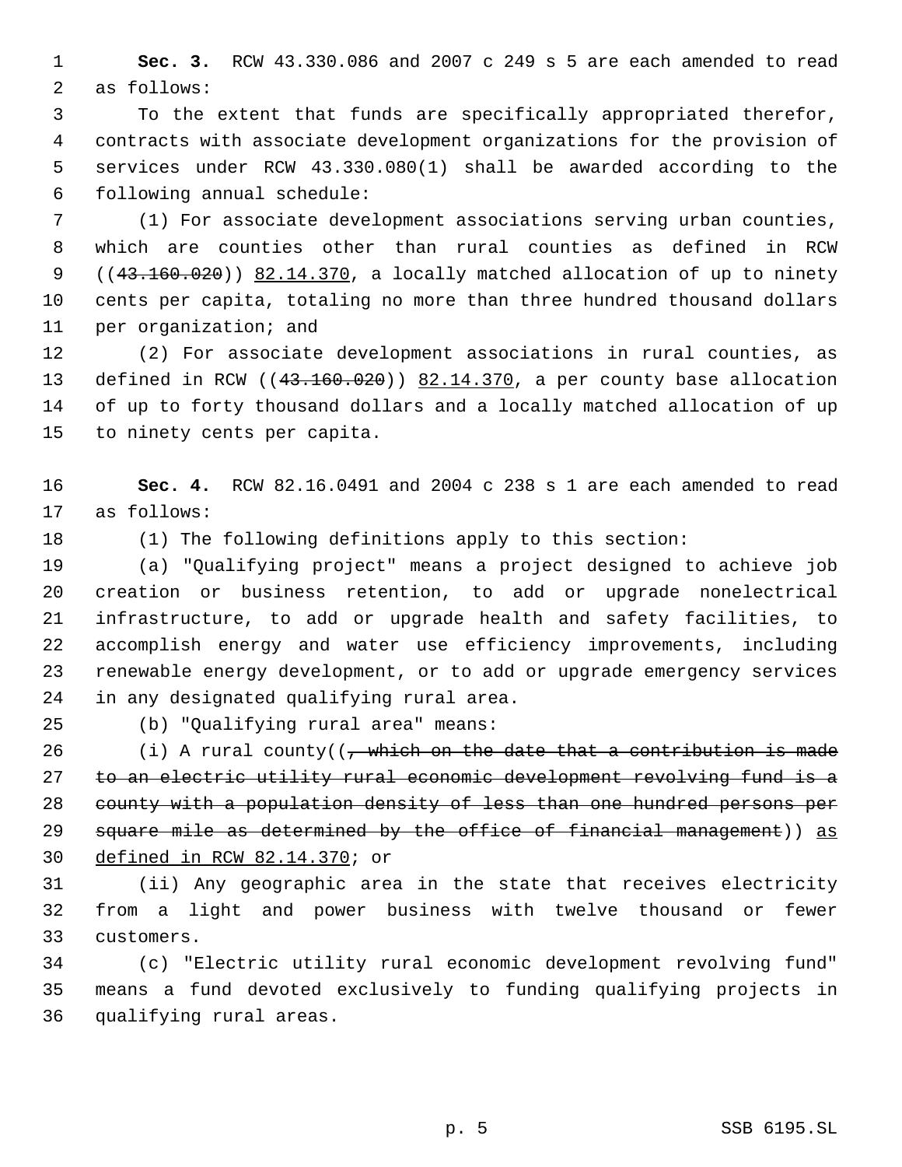**Sec. 3.** RCW 43.330.086 and 2007 c 249 s 5 are each amended to read as follows:

 To the extent that funds are specifically appropriated therefor, contracts with associate development organizations for the provision of services under RCW 43.330.080(1) shall be awarded according to the following annual schedule:

 (1) For associate development associations serving urban counties, which are counties other than rural counties as defined in RCW  $((43.160.020))$   $82.14.370$ , a locally matched allocation of up to ninety cents per capita, totaling no more than three hundred thousand dollars per organization; and

 (2) For associate development associations in rural counties, as defined in RCW ((43.160.020)) 82.14.370, a per county base allocation of up to forty thousand dollars and a locally matched allocation of up to ninety cents per capita.

 **Sec. 4.** RCW 82.16.0491 and 2004 c 238 s 1 are each amended to read as follows:

(1) The following definitions apply to this section:

 (a) "Qualifying project" means a project designed to achieve job creation or business retention, to add or upgrade nonelectrical infrastructure, to add or upgrade health and safety facilities, to accomplish energy and water use efficiency improvements, including renewable energy development, or to add or upgrade emergency services in any designated qualifying rural area.

(b) "Qualifying rural area" means:

 $(i)$  A rural county((, which on the date that a contribution is made to an electric utility rural economic development revolving fund is a county with a population density of less than one hundred persons per 29 square mile as determined by the office of financial management)) as defined in RCW 82.14.370; or

 (ii) Any geographic area in the state that receives electricity from a light and power business with twelve thousand or fewer customers.

 (c) "Electric utility rural economic development revolving fund" means a fund devoted exclusively to funding qualifying projects in qualifying rural areas.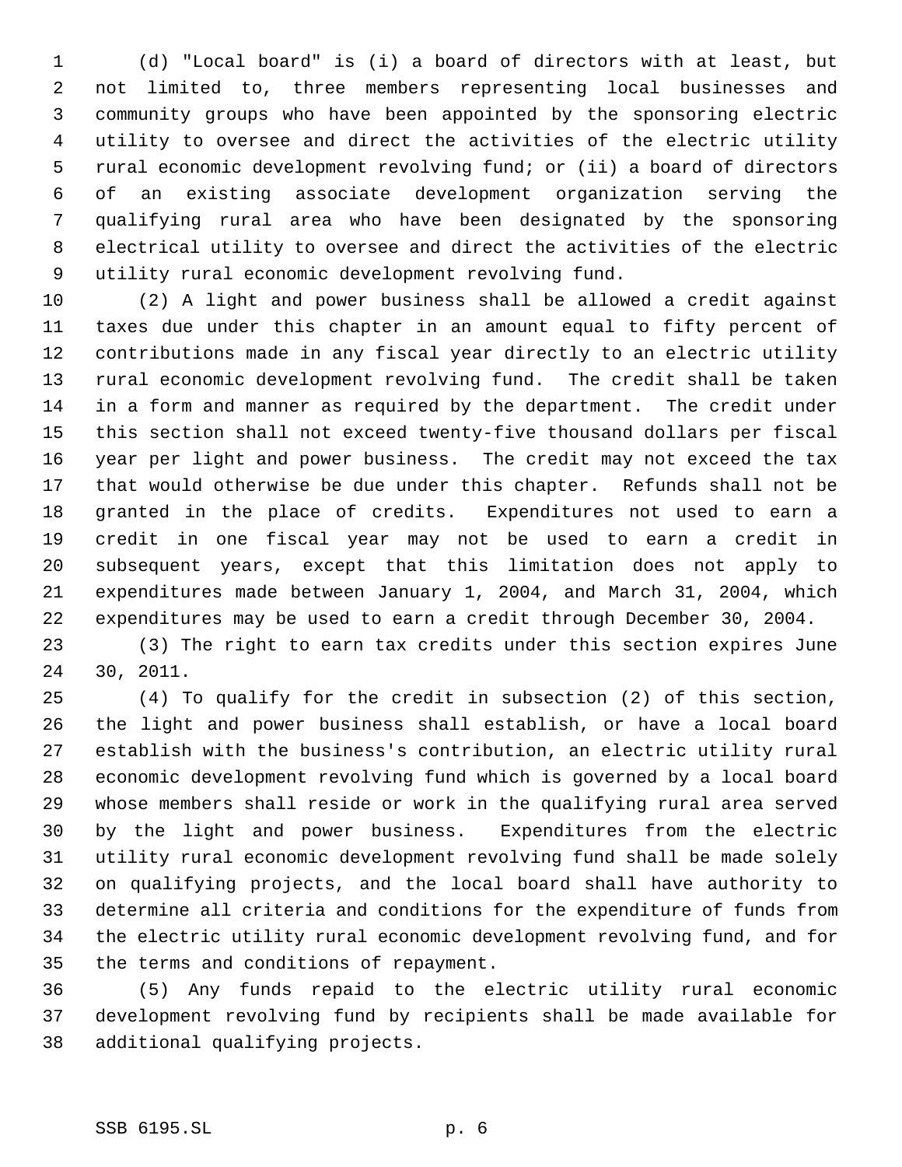(d) "Local board" is (i) a board of directors with at least, but not limited to, three members representing local businesses and community groups who have been appointed by the sponsoring electric utility to oversee and direct the activities of the electric utility rural economic development revolving fund; or (ii) a board of directors of an existing associate development organization serving the qualifying rural area who have been designated by the sponsoring electrical utility to oversee and direct the activities of the electric utility rural economic development revolving fund.

 (2) A light and power business shall be allowed a credit against taxes due under this chapter in an amount equal to fifty percent of contributions made in any fiscal year directly to an electric utility rural economic development revolving fund. The credit shall be taken in a form and manner as required by the department. The credit under this section shall not exceed twenty-five thousand dollars per fiscal year per light and power business. The credit may not exceed the tax that would otherwise be due under this chapter. Refunds shall not be granted in the place of credits. Expenditures not used to earn a credit in one fiscal year may not be used to earn a credit in subsequent years, except that this limitation does not apply to expenditures made between January 1, 2004, and March 31, 2004, which expenditures may be used to earn a credit through December 30, 2004.

 (3) The right to earn tax credits under this section expires June 30, 2011.

 (4) To qualify for the credit in subsection (2) of this section, the light and power business shall establish, or have a local board establish with the business's contribution, an electric utility rural economic development revolving fund which is governed by a local board whose members shall reside or work in the qualifying rural area served by the light and power business. Expenditures from the electric utility rural economic development revolving fund shall be made solely on qualifying projects, and the local board shall have authority to determine all criteria and conditions for the expenditure of funds from the electric utility rural economic development revolving fund, and for the terms and conditions of repayment.

 (5) Any funds repaid to the electric utility rural economic development revolving fund by recipients shall be made available for additional qualifying projects.